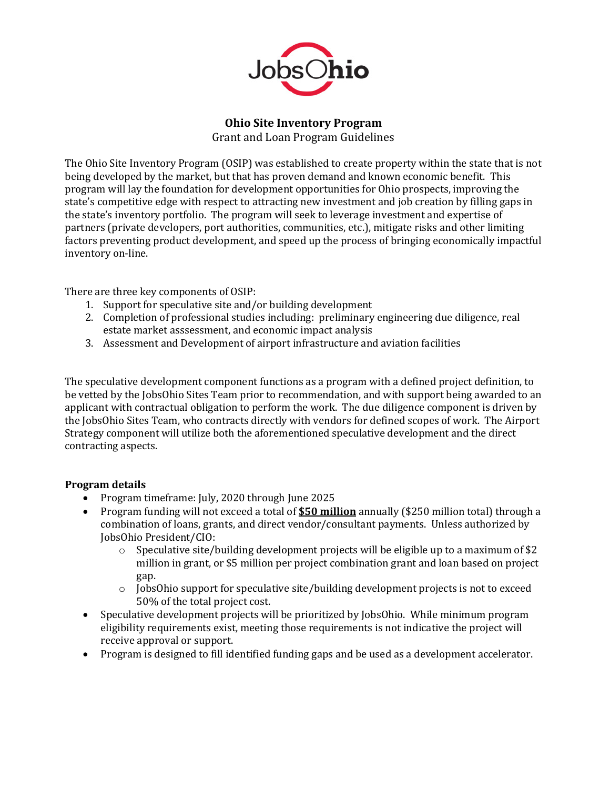

**Ohio Site Inventory Program** 

Grant and Loan Program Guidelines

The Ohio Site Inventory Program (OSIP) was established to create property within the state that is not being developed by the market, but that has proven demand and known economic benefit. This program will lay the foundation for development opportunities for Ohio prospects, improving the state's competitive edge with respect to attracting new investment and job creation by filling gaps in the state's inventory portfolio. The program will seek to leverage investment and expertise of partners (private developers, port authorities, communities, etc.), mitigate risks and other limiting factors preventing product development, and speed up the process of bringing economically impactful inventory on-line.

There are three key components of OSIP:

- 1. Support for speculative site and/or building development
- 2. Completion of professional studies including: preliminary engineering due diligence, real estate market asssessment, and economic impact analysis
- 3. Assessment and Development of airport infrastructure and aviation facilities

The speculative development component functions as a program with a defined project definition, to be vetted by the JobsOhio Sites Team prior to recommendation, and with support being awarded to an applicant with contractual obligation to perform the work. The due diligence component is driven by the JobsOhio Sites Team, who contracts directly with vendors for defined scopes of work. The Airport Strategy component will utilize both the aforementioned speculative development and the direct contracting aspects.

# **Program details**

- Program timeframe: July, 2020 through June 2025
- Program funding will not exceed a total of **\$50 million** annually (\$250 million total) through a combination of loans, grants, and direct vendor/consultant payments. Unless authorized by JobsOhio President/CIO:
	- $\circ$  Speculative site/building development projects will be eligible up to a maximum of \$2 million in grant, or \$5 million per project combination grant and loan based on project gap.
	- $\circ$  JobsOhio support for speculative site/building development projects is not to exceed 50% of the total project cost.
- Speculative development projects will be prioritized by JobsOhio. While minimum program eligibility requirements exist, meeting those requirements is not indicative the project will receive approval or support.
- Program is designed to fill identified funding gaps and be used as a development accelerator.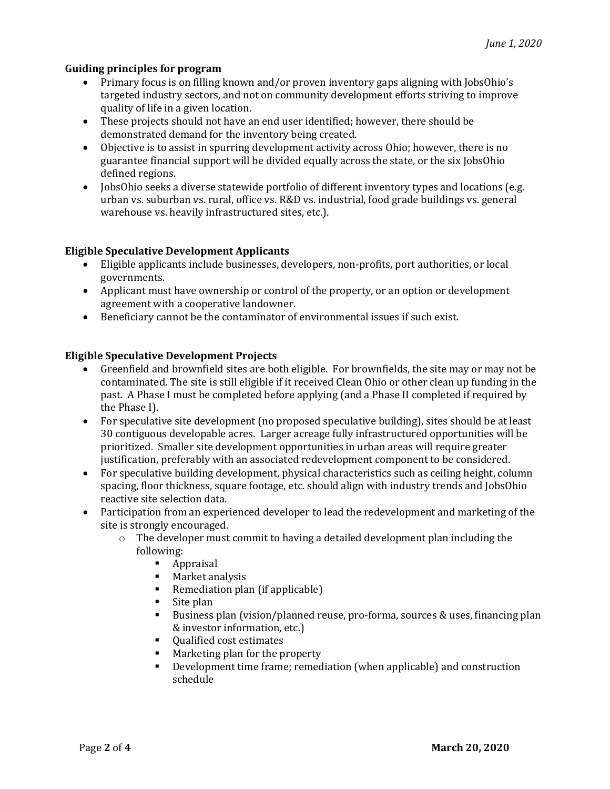### **Guiding principles for program**

- Primary focus is on filling known and/or proven inventory gaps aligning with JobsOhio's targeted industry sectors, and not on community development efforts striving to improve quality of life in a given location.
- These projects should not have an end user identified; however, there should be demonstrated demand for the inventory being created.
- Objective is to assist in spurring development activity across Ohio; however, there is no guarantee financial support will be divided equally across the state, or the six JobsOhio defined regions.
- JobsOhio seeks a diverse statewide portfolio of different inventory types and locations (e.g. urban vs. suburban vs. rural, office vs. R&D vs. industrial, food grade buildings vs. general warehouse vs. heavily infrastructured sites, etc.).

#### **Eligible Speculative Development Applicants**

- Eligible applicants include businesses, developers, non-profits, port authorities, or local governments.
- Applicant must have ownership or control of the property, or an option or development agreement with a cooperative landowner.
- Beneficiary cannot be the contaminator of environmental issues if such exist.

### **Eligible Speculative Development Projects**

- Greenfield and brownfield sites are both eligible. For brownfields, the site may or may not be contaminated. The site is still eligible if it received Clean Ohio or other clean up funding in the past. A Phase I must be completed before applying (and a Phase II completed if required by the Phase I).
- For speculative site development (no proposed speculative building), sites should be at least 30 contiguous developable acres. Larger acreage fully infrastructured opportunities will be prioritized. Smaller site development opportunities in urban areas will require greater justification, preferably with an associated redevelopment component to be considered.
- For speculative building development, physical characteristics such as ceiling height, column spacing, floor thickness, square footage, etc. should align with industry trends and JobsOhio reactive site selection data.
- Participation from an experienced developer to lead the redevelopment and marketing of the site is strongly encouraged.
	- $\circ$  The developer must commit to having a detailed development plan including the following:
		- Appraisal
		- Market analysis
		- Remediation plan (if applicable)
		- $\blacksquare$  Site plan
		- Business plan (vision/planned reuse, pro-forma, sources & uses, financing plan & investor information, etc.)
		- Qualified cost estimates
		- Marketing plan for the property
		- Development time frame; remediation (when applicable) and construction schedule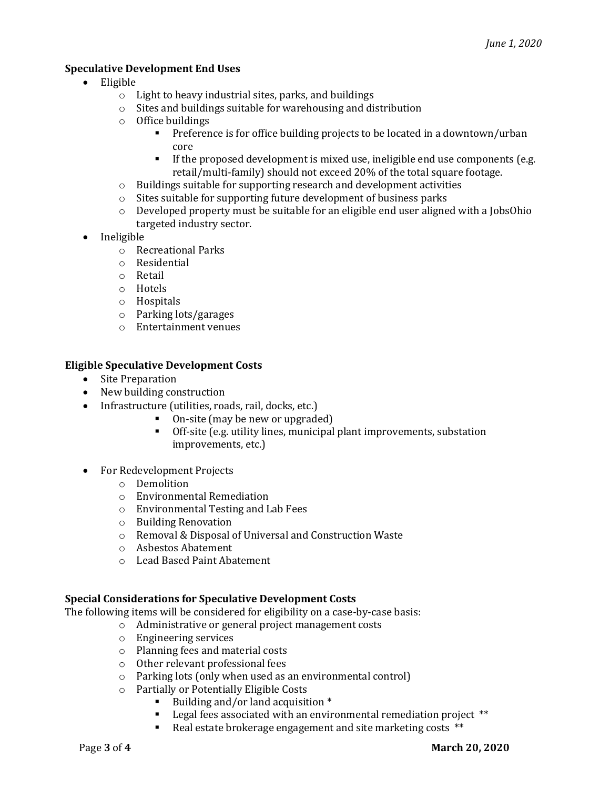# **Speculative Development End Uses**

- Eligible
	- $\circ$  Light to heavy industrial sites, parks, and buildings
	- $\circ$  Sites and buildings suitable for warehousing and distribution
	- o Office buildings
		- Preference is for office building projects to be located in a downtown/urban core
		- **•** If the proposed development is mixed use, ineligible end use components (e.g. retail/multi-family) should not exceed 20% of the total square footage.
	- $\circ$  Buildings suitable for supporting research and development activities
	- $\circ$  Sites suitable for supporting future development of business parks
	- $\circ$  Developed property must be suitable for an eligible end user aligned with a JobsOhio targeted industry sector.
- Ineligible
	- $\circ$  Recreational Parks
	- o Residential
	- o Retail
	- o Hotels
	- o Hospitals
	- $\circ$  Parking lots/garages
	- $\circ$  Entertainment venues

#### **Eligible Speculative Development Costs**

- Site Preparation
- New building construction
- Infrastructure (utilities, roads, rail, docks, etc.)
	- On-site (may be new or upgraded)
	- Off-site (e.g. utility lines, municipal plant improvements, substation improvements, etc.)
- For Redevelopment Projects
	- o Demolition
	- $\circ$  Environmental Remediation
	- o Environmental Testing and Lab Fees
	- $\circ$  Building Renovation
	- o Removal & Disposal of Universal and Construction Waste
	- o Asbestos Abatement
	- o Lead Based Paint Abatement

#### **Special Considerations for Speculative Development Costs**

The following items will be considered for eligibility on a case-by-case basis:

- o Administrative or general project management costs
- $\circ$  Engineering services
- $\circ$  Planning fees and material costs
- $\circ$  Other relevant professional fees
- $\circ$  Parking lots (only when used as an environmental control)
- o Partially or Potentially Eligible Costs
	- Building and/or land acquisition \*
	- **•** Legal fees associated with an environmental remediation project  $**$
	- Real estate brokerage engagement and site marketing costs \*\*